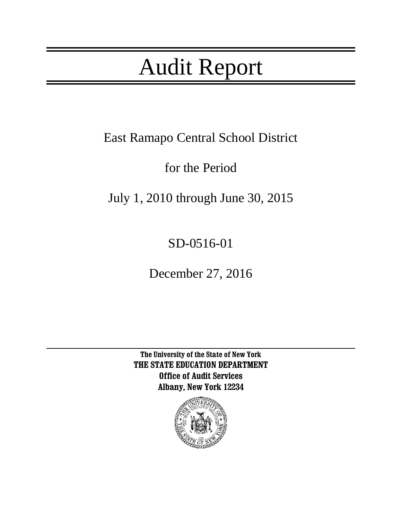# Audit Report

East Ramapo Central School District

for the Period

July 1, 2010 through June 30, 2015

SD-0516-01

December 27, 2016

**The University of the State of New York THE STATE EDUCATION DEPARTMENT Office of Audit Services Albany, New York 12234**

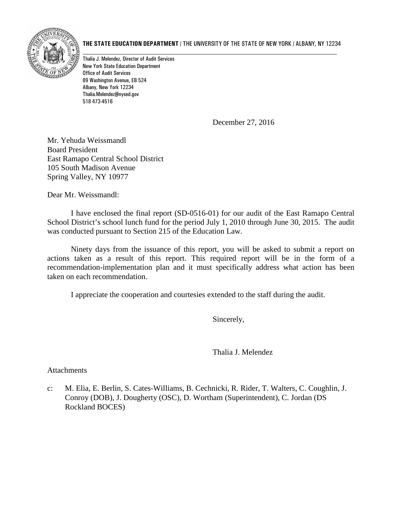

#### **THE STATE EDUCATION DEPARTMENT** / THE UNIVERSITY OF THE STATE OF NEW YORK / ALBANY, NY 12234

Thalia J. Melendez, Director of Audit Services New York State Education Department Office of Audit Services 89 Washington Avenue, EB 524 Albany, New York 12234 Thalia.Melendez@nysed.gov 518 473-4516

December 27, 2016

[Mr.](http://www.ercsd.org/pages/East_Ramapo_CSD/Departments/Superintendent/Dr__Deborah_L__Wortham) Yehuda Weissmandl Board President East Ramapo Central School District 105 South Madison Avenue Spring Valley, NY 10977

Dear Mr. Weissmandl:

I have enclosed the final report (SD-0516-01) for our audit of the East Ramapo Central School District's school lunch fund for the period July 1, 2010 through June 30, 2015. The audit was conducted pursuant to Section 215 of the Education Law.

Ninety days from the issuance of this report, you will be asked to submit a report on actions taken as a result of this report. This required report will be in the form of a recommendation-implementation plan and it must specifically address what action has been taken on each recommendation.

I appreciate the cooperation and courtesies extended to the staff during the audit.

Sincerely,

Thalia J. Melendez

Attachments

c: M. Elia, E. Berlin, S. Cates-Williams, B. Cechnicki, R. Rider, T. Walters, C. Coughlin, J. Conroy (DOB), J. Dougherty (OSC), D. Wortham (Superintendent), C. Jordan (DS Rockland BOCES)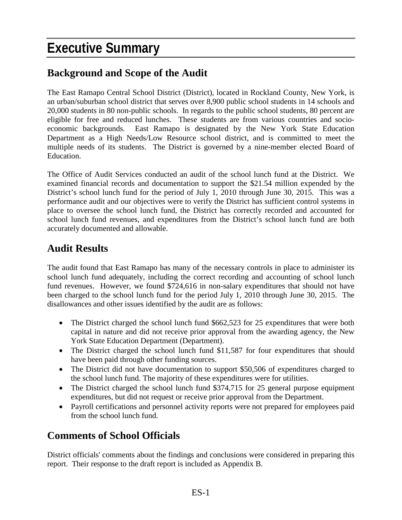## **Executive Summary**

### **Background and Scope of the Audit**

The East Ramapo Central School District (District), located in Rockland County, New York, is an urban/suburban school district that serves over 8,900 public school students in 14 schools and 20,000 students in 80 non-public schools. In regards to the public school students, 80 percent are eligible for free and reduced lunches. These students are from various countries and socioeconomic backgrounds. East Ramapo is designated by the New York State Education Department as a High Needs/Low Resource school district, and is committed to meet the multiple needs of its students. The District is governed by a nine-member elected Board of Education.

The Office of Audit Services conducted an audit of the school lunch fund at the District. We examined financial records and documentation to support the \$21.54 million expended by the District's school lunch fund for the period of July 1, 2010 through June 30, 2015. This was a performance audit and our objectives were to verify the District has sufficient control systems in place to oversee the school lunch fund, the District has correctly recorded and accounted for school lunch fund revenues, and expenditures from the District's school lunch fund are both accurately documented and allowable.

### **Audit Results**

The audit found that East Ramapo has many of the necessary controls in place to administer its school lunch fund adequately, including the correct recording and accounting of school lunch fund revenues. However, we found \$724,616 in non-salary expenditures that should not have been charged to the school lunch fund for the period July 1, 2010 through June 30, 2015. The disallowances and other issues identified by the audit are as follows:

- The District charged the school lunch fund \$662,523 for 25 expenditures that were both capital in nature and did not receive prior approval from the awarding agency, the New York State Education Department (Department).
- The District charged the school lunch fund \$11,587 for four expenditures that should have been paid through other funding sources.
- The District did not have documentation to support \$50,506 of expenditures charged to the school lunch fund. The majority of these expenditures were for utilities.
- The District charged the school lunch fund \$374,715 for 25 general purpose equipment expenditures, but did not request or receive prior approval from the Department.
- Payroll certifications and personnel activity reports were not prepared for employees paid from the school lunch fund.

### **Comments of School Officials**

District officials' comments about the findings and conclusions were considered in preparing this report. Their response to the draft report is included as Appendix B.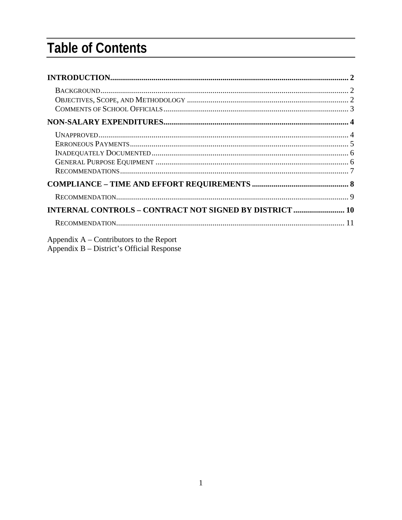## **Table of Contents**

| $\textsc{BackGROWND} \textsc{} \textsc{} \textsc{} \textsc{} \textsc{} \textsc{} \textsc{} \textsc{} \textsc{} \textsc{2}$ |  |
|----------------------------------------------------------------------------------------------------------------------------|--|
|                                                                                                                            |  |
|                                                                                                                            |  |
|                                                                                                                            |  |
|                                                                                                                            |  |
| <b>INTERNAL CONTROLS - CONTRACT NOT SIGNED BY DISTRICT  10</b>                                                             |  |
|                                                                                                                            |  |
| Appendix $A$ – Contributors to the Report                                                                                  |  |

Appendix B - District's Official Response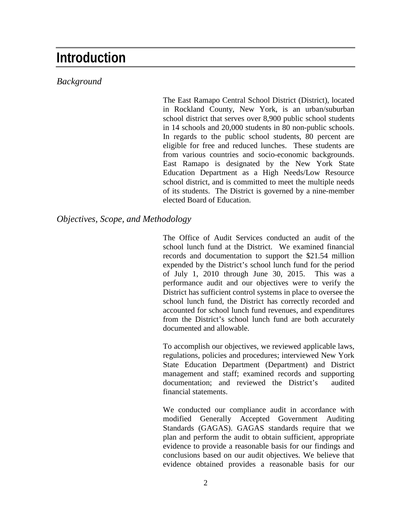### <span id="page-4-0"></span>**Introduction**

#### <span id="page-4-1"></span>*Background*

The East Ramapo Central School District (District), located in Rockland County, New York, is an urban/suburban school district that serves over 8,900 public school students in 14 schools and 20,000 students in 80 non-public schools. In regards to the public school students, 80 percent are eligible for free and reduced lunches. These students are from various countries and socio-economic backgrounds. East Ramapo is designated by the New York State Education Department as a High Needs/Low Resource school district, and is committed to meet the multiple needs of its students. The District is governed by a nine-member elected Board of Education.

#### <span id="page-4-2"></span>*Objectives, Scope, and Methodology*

The Office of Audit Services conducted an audit of the school lunch fund at the District. We examined financial records and documentation to support the \$21.54 million expended by the District's school lunch fund for the period of July 1, 2010 through June 30, 2015. This was a performance audit and our objectives were to verify the District has sufficient control systems in place to oversee the school lunch fund, the District has correctly recorded and accounted for school lunch fund revenues, and expenditures from the District's school lunch fund are both accurately documented and allowable.

To accomplish our objectives, we reviewed applicable laws, regulations, policies and procedures; interviewed New York State Education Department (Department) and District management and staff; examined records and supporting documentation; and reviewed the District's audited financial statements.

We conducted our compliance audit in accordance with modified Generally Accepted Government Auditing Standards (GAGAS). GAGAS standards require that we plan and perform the audit to obtain sufficient, appropriate evidence to provide a reasonable basis for our findings and conclusions based on our audit objectives. We believe that evidence obtained provides a reasonable basis for our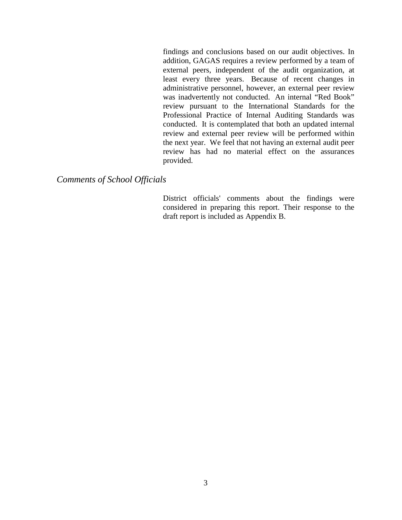findings and conclusions based on our audit objectives. In addition, GAGAS requires a review performed by a team of external peers, independent of the audit organization, at least every three years. Because of recent changes in administrative personnel, however, an external peer review was inadvertently not conducted. An internal "Red Book" review pursuant to the International Standards for the Professional Practice of Internal Auditing Standards was conducted. It is contemplated that both an updated internal review and external peer review will be performed within the next year. We feel that not having an external audit peer review has had no material effect on the assurances provided.

#### <span id="page-5-1"></span><span id="page-5-0"></span>*Comments of School Officials*

District officials' comments about the findings were considered in preparing this report. Their response to the draft report is included as Appendix B.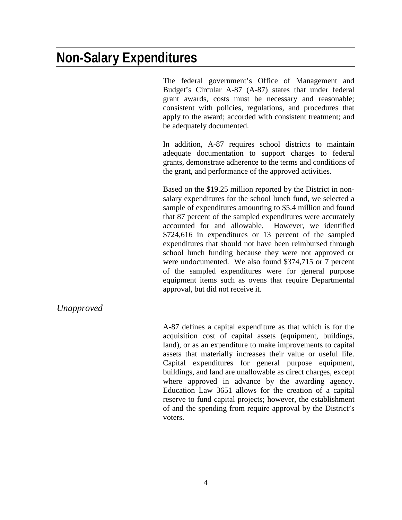### **Non-Salary Expenditures**

The federal government's Office of Management and Budget's Circular A-87 (A-87) states that under federal grant awards, costs must be necessary and reasonable; consistent with policies, regulations, and procedures that apply to the award; accorded with consistent treatment; and be adequately documented.

In addition, A-87 requires school districts to maintain adequate documentation to support charges to federal grants, demonstrate adherence to the terms and conditions of the grant, and performance of the approved activities.

Based on the \$19.25 million reported by the District in nonsalary expenditures for the school lunch fund, we selected a sample of expenditures amounting to \$5.4 million and found that 87 percent of the sampled expenditures were accurately accounted for and allowable. However, we identified \$724,616 in expenditures or 13 percent of the sampled expenditures that should not have been reimbursed through school lunch funding because they were not approved or were undocumented. We also found \$374,715 or 7 percent of the sampled expenditures were for general purpose equipment items such as ovens that require Departmental approval, but did not receive it.

#### <span id="page-6-0"></span>*Unapproved*

A-87 defines a capital expenditure as that which is for the acquisition cost of capital assets (equipment, buildings, land), or as an expenditure to make improvements to capital assets that materially increases their value or useful life. Capital expenditures for general purpose equipment, buildings, and land are unallowable as direct charges, except where approved in advance by the awarding agency. Education Law 3651 allows for the creation of a capital reserve to fund capital projects; however, the establishment of and the spending from require approval by the District's voters.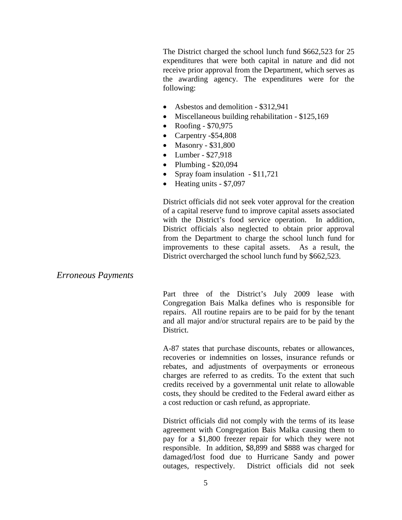The District charged the school lunch fund \$662,523 for 25 expenditures that were both capital in nature and did not receive prior approval from the Department, which serves as the awarding agency. The expenditures were for the following:

- Asbestos and demolition \$312,941
- Miscellaneous building rehabilitation \$125,169
- Roofing \$70,975
- Carpentry -\$54,808
- Masonry \$31,800
- Lumber \$27,918
- Plumbing  $$20,094$
- Spray foam insulation \$11,721
- Heating units \$7,097

District officials did not seek voter approval for the creation of a capital reserve fund to improve capital assets associated with the District's food service operation. In addition, District officials also neglected to obtain prior approval from the Department to charge the school lunch fund for improvements to these capital assets. As a result, the District overcharged the school lunch fund by \$662,523.

#### <span id="page-7-0"></span>*Erroneous Payments*

Part three of the District's July 2009 lease with Congregation Bais Malka defines who is responsible for repairs. All routine repairs are to be paid for by the tenant and all major and/or structural repairs are to be paid by the District.

A-87 states that purchase discounts, rebates or allowances, recoveries or indemnities on losses, insurance refunds or rebates, and adjustments of overpayments or erroneous charges are referred to as credits. To the extent that such credits received by a governmental unit relate to allowable costs, they should be credited to the Federal award either as a cost reduction or cash refund, as appropriate.

District officials did not comply with the terms of its lease agreement with Congregation Bais Malka causing them to pay for a \$1,800 freezer repair for which they were not responsible. In addition, \$8,899 and \$888 was charged for damaged/lost food due to Hurricane Sandy and power outages, respectively. District officials did not seek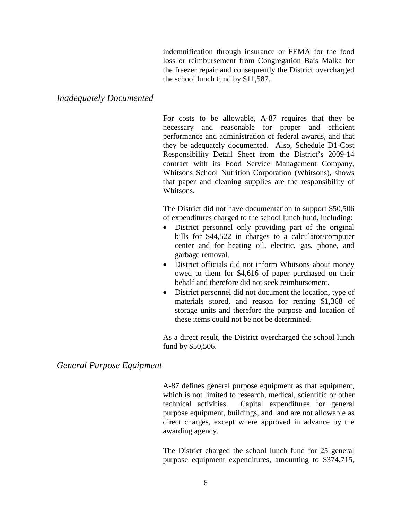indemnification through insurance or FEMA for the food loss or reimbursement from Congregation Bais Malka for the freezer repair and consequently the District overcharged the school lunch fund by \$11,587.

#### <span id="page-8-0"></span>*Inadequately Documented*

For costs to be allowable, A-87 requires that they be necessary and reasonable for proper and efficient performance and administration of federal awards, and that they be adequately documented. Also, Schedule D1-Cost Responsibility Detail Sheet from the District's 2009-14 contract with its Food Service Management Company, Whitsons School Nutrition Corporation (Whitsons), shows that paper and cleaning supplies are the responsibility of Whitsons.

The District did not have documentation to support \$50,506 of expenditures charged to the school lunch fund, including:

- District personnel only providing part of the original bills for \$44,522 in charges to a calculator/computer center and for heating oil, electric, gas, phone, and garbage removal.
- District officials did not inform Whitsons about money owed to them for \$4,616 of paper purchased on their behalf and therefore did not seek reimbursement.
- District personnel did not document the location, type of materials stored, and reason for renting \$1,368 of storage units and therefore the purpose and location of these items could not be not be determined.

As a direct result, the District overcharged the school lunch fund by \$50,506.

#### <span id="page-8-1"></span>*General Purpose Equipment*

A-87 defines general purpose equipment as that equipment, which is not limited to research, medical, scientific or other technical activities. Capital expenditures for general purpose equipment, buildings, and land are not allowable as direct charges, except where approved in advance by the awarding agency.

The District charged the school lunch fund for 25 general purpose equipment expenditures, amounting to \$374,715,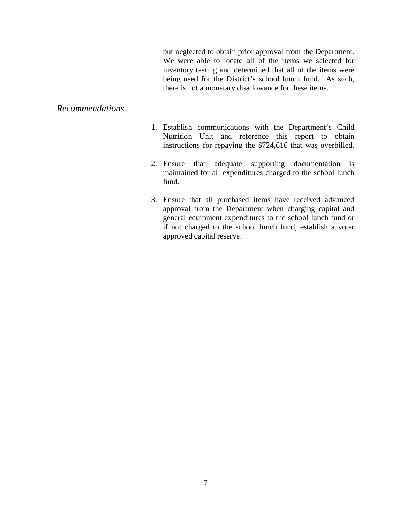but neglected to obtain prior approval from the Department. We were able to locate all of the items we selected for inventory testing and determined that all of the items were being used for the District's school lunch fund. As such, there is not a monetary disallowance for these items.

#### <span id="page-9-0"></span>*Recommendations*

- 1. Establish communications with the Department's Child Nutrition Unit and reference this report to obtain instructions for repaying the \$724,616 that was overbilled.
- 2. Ensure that adequate supporting documentation is maintained for all expenditures charged to the school lunch fund.
- 3. Ensure that all purchased items have received advanced approval from the Department when charging capital and general equipment expenditures to the school lunch fund or if not charged to the school lunch fund, establish a voter approved capital reserve.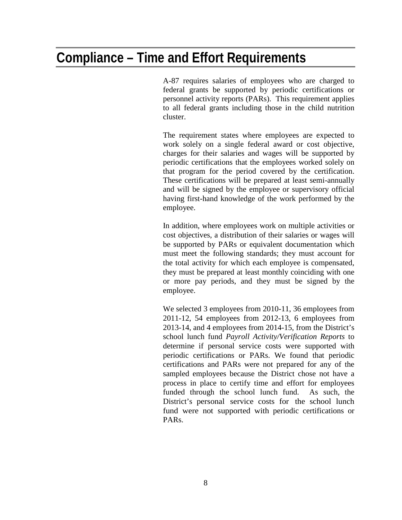## <span id="page-10-0"></span>**Compliance – Time and Effort Requirements**

A-87 requires salaries of employees who are charged to federal grants be supported by periodic certifications or personnel activity reports (PARs). This requirement applies to all federal grants including those in the child nutrition cluster.

The requirement states where employees are expected to work solely on a single federal award or cost objective, charges for their salaries and wages will be supported by periodic certifications that the employees worked solely on that program for the period covered by the certification. These certifications will be prepared at least semi-annually and will be signed by the employee or supervisory official having first-hand knowledge of the work performed by the employee.

In addition, where employees work on multiple activities or cost objectives, a distribution of their salaries or wages will be supported by PARs or equivalent documentation which must meet the following standards; they must account for the total activity for which each employee is compensated, they must be prepared at least monthly coinciding with one or more pay periods, and they must be signed by the employee.

<span id="page-10-1"></span>We selected 3 employees from 2010-11, 36 employees from 2011-12, 54 employees from 2012-13, 6 employees from 2013-14, and 4 employees from 2014-15, from the District's school lunch fund *Payroll Activity/Verification Reports* to determine if personal service costs were supported with periodic certifications or PARs. We found that periodic certifications and PARs were not prepared for any of the sampled employees because the District chose not have a process in place to certify time and effort for employees funded through the school lunch fund. As such, the District's personal service costs for the school lunch fund were not supported with periodic certifications or PARs.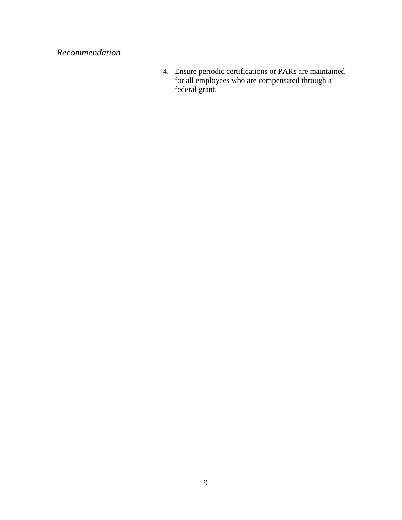### *Recommendation*

4. Ensure periodic certifications or PARs are maintained for all employees who are compensated through a federal grant.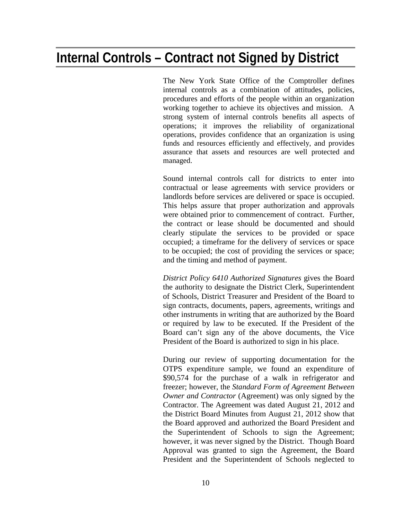## <span id="page-12-0"></span>**Internal Controls – Contract not Signed by District**

The New York State Office of the Comptroller defines internal controls as a combination of attitudes, policies, procedures and efforts of the people within an organization working together to achieve its objectives and mission. A strong system of internal controls benefits all aspects of operations; it improves the reliability of organizational operations, provides confidence that an organization is using funds and resources efficiently and effectively, and provides assurance that assets and resources are well protected and managed.

Sound internal controls call for districts to enter into contractual or lease agreements with service providers or landlords before services are delivered or space is occupied. This helps assure that proper authorization and approvals were obtained prior to commencement of contract. Further, the contract or lease should be documented and should clearly stipulate the services to be provided or space occupied; a timeframe for the delivery of services or space to be occupied; the cost of providing the services or space; and the timing and method of payment.

*District Policy 6410 Authorized Signatures* gives the Board the authority to designate the District Clerk, Superintendent of Schools, District Treasurer and President of the Board to sign contracts, documents, papers, agreements, writings and other instruments in writing that are authorized by the Board or required by law to be executed. If the President of the Board can't sign any of the above documents, the Vice President of the Board is authorized to sign in his place.

During our review of supporting documentation for the OTPS expenditure sample, we found an expenditure of \$90,574 for the purchase of a walk in refrigerator and freezer; however, the *Standard Form of Agreement Between Owner and Contractor* (Agreement) was only signed by the Contractor. The Agreement was dated August 21, 2012 and the District Board Minutes from August 21, 2012 show that the Board approved and authorized the Board President and the Superintendent of Schools to sign the Agreement; however, it was never signed by the District. Though Board Approval was granted to sign the Agreement, the Board President and the Superintendent of Schools neglected to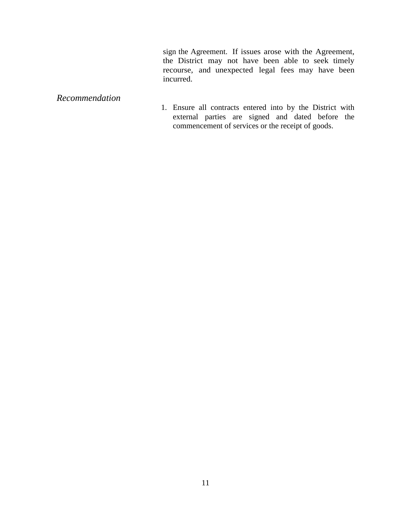sign the Agreement. If issues arose with the Agreement, the District may not have been able to seek timely recourse, and unexpected legal fees may have been incurred.

#### <span id="page-13-0"></span>*Recommendation*

1. Ensure all contracts entered into by the District with external parties are signed and dated before the commencement of services or the receipt of goods.